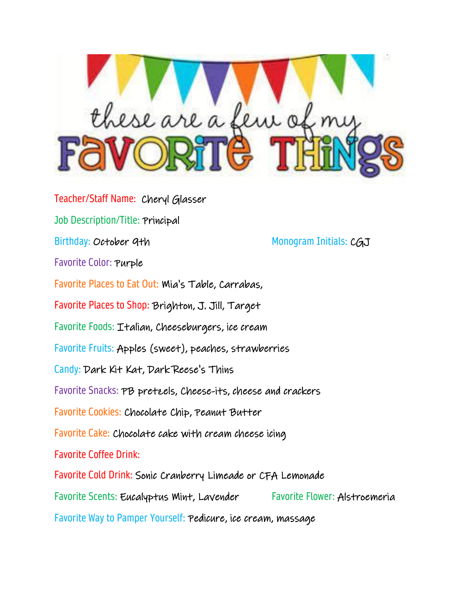

Teacher/Staff Name: Cheryl Glasser Job Description/Title: Principal Birthday: October 9th Monogram Initials: CGJ Favorite Color: Purple Favorite Places to Eat Out: Mia's Table, Carrabas, Favorite Places to Shop: Brighton, J. Jill, Target Favorite Foods: Italian, Cheeseburgers, ice cream Favorite Fruits: Apples (sweet), peaches, strawberries Candy: Dark Kit Kat, Dark Reese's Thins Favorite Snacks: PB pretzels, Cheese-its, cheese and crackers Favorite Cookies: Chocolate Chip, Peanut Butter Favorite Cake: Chocolate cake with cream cheese icing Favorite Coffee Drink: Favorite Cold Drink: Sonic Cranberry Limeade or CFA Lemonade Favorite Scents: Eucalyptus Mint, Lavender Favorite Flower: Alstroemeria Favorite Way to Pamper Yourself: Pedicure, ice cream, massage